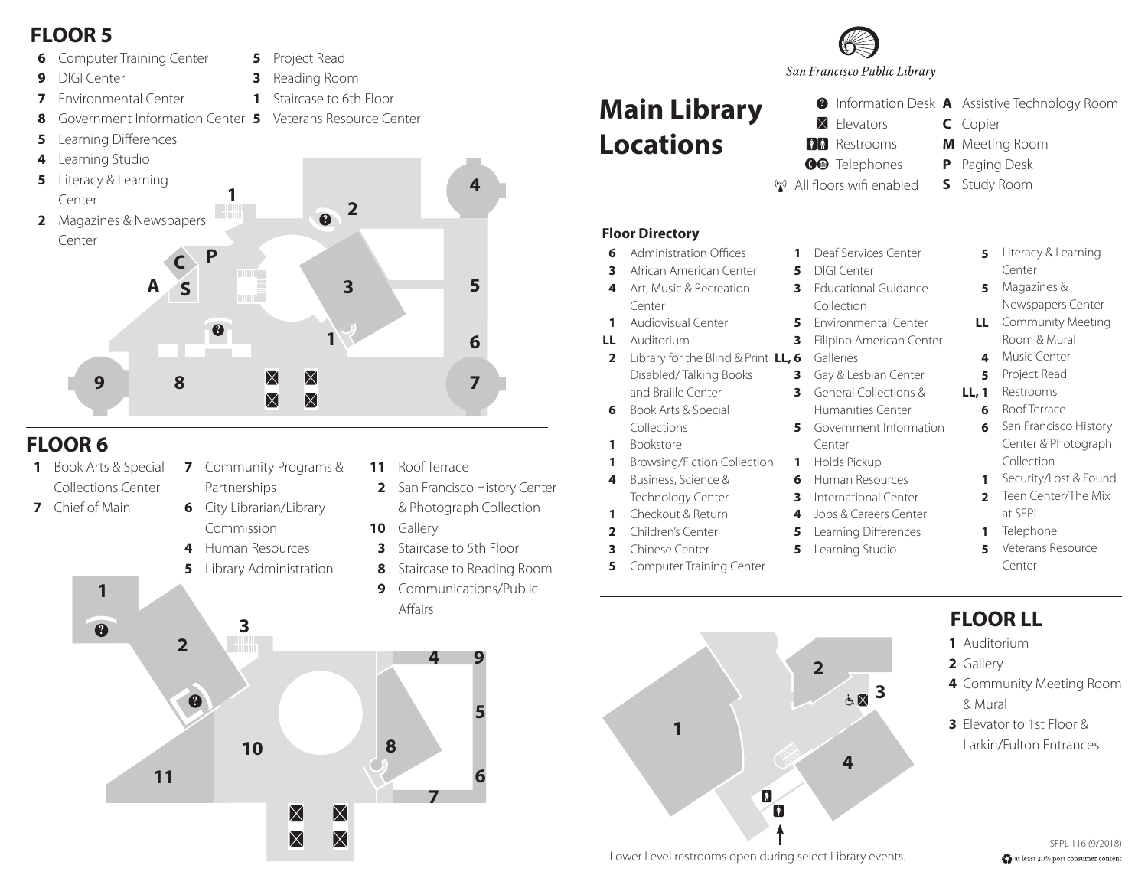### **FLOOR 5**

**8**

- **6** Computer Training Center
- **9** DIGI Center

**7** Environmental Center

- **5** Project Read
- **3** Reading Room
- **1** Staircase to 6th Floor
- Government Information Center **5** Veterans Resource Center
- **? ? 1 2 4 6 5 1 C A S 9 P 8 7 3 5** Learning Differences **4** Learning Studio **5** Literacy & Learning **2** Magazines & Newspapers Center Center

# **FLOOR 6**

- **1** Book Arts & Special Collections Center Partnerships
- **7** Chief of Main
- **7** Community Programs &
- **6** City Librarian/Library Commission
- **4** Human Resources
- **5** Library Administration

**10 8**

 $\boxtimes$ 

 $\boxtimes$ 

 $\times$ 

 $\boxtimes$ 

- **11** Roof Terrace
- **2** San Francisco History Center & Photograph Collection
- **10** Gallery
- **3** Staircase to 5th Floor

**4**

**7**

- **8** Staircase to Reading Room
- **9** Communications/Public Affairs

**5**

**9**

**6**

**3 ?**



San Francisco Public Library

#### **Main Library Locations RR** Restrooms

- **A** Information Desk **A** Assistive Technology Room  $\times$  Elevators
	- Copier **C**
	- **M** Meeting Room
- **OO** Telephones
- P Paging Desk
- ((e)) All floors wifi enabled

**S** Study Room

#### **Floor Directory**

- **6** Administration Offices
- **3** African American Center
- **4** Art, Music & Recreation Center
- **1** Audiovisual Center
- **LL** Auditorium
- **2** Library for the Blind & Print **LL, 6** Disabled/ Talking Books and Braille Center
- **6** Book Arts & Special **Collections**
- **1** Bookstore
	- Browsing/Fiction Collection
- **4** Business, Science & Technology Center
- **1** Checkout & Return
- **2** Children's Center
- 
- Computer Training Center

**1**

- **1** Deaf Services Center **5** DIGI Center
- **3** Educational Guidance Collection
- **5** Environmental Center

**3**

**5**

- Filipino American Center
- Galleries
- **3** Gay & Lesbian Center
- **3** General Collections &
- **5** Government Information Humanities Center Center
- 
- **1** Holds Pickup
- **6** Human Resources International Center
- **3**
- **4** Jobs & Careers Center
	- Learning Differences
- **5** Learning Studio

**2**

**4**

#### **5** Magazines & Center

**5** Literacy & Learning

- **LL** Community Meeting Newspapers Center
	- Room & Mural
- **4** Music Center
- **5** Project Read
- **LL, 1** Restrooms
	- **6** Roof Terrace
	- **6** San Francisco History Center & Photograph Collection
	- **1** Security/Lost & Found
	- **2** Teen Center/The Mix at SFPL
	- **1** Telephone
	- **5** Veterans Resource Center

## **FLOOR LL**

- Auditorium **1**
- Gallery **2**
- Community Meeting Room **4** & Mural
- Elevator to 1st Floor & **3** Larkin/Fulton Entrances



 $\boldsymbol{\mathsf{N}}$ 

14

**3 5** Chinese Center

**1**

**? 1 2 3**

**11**